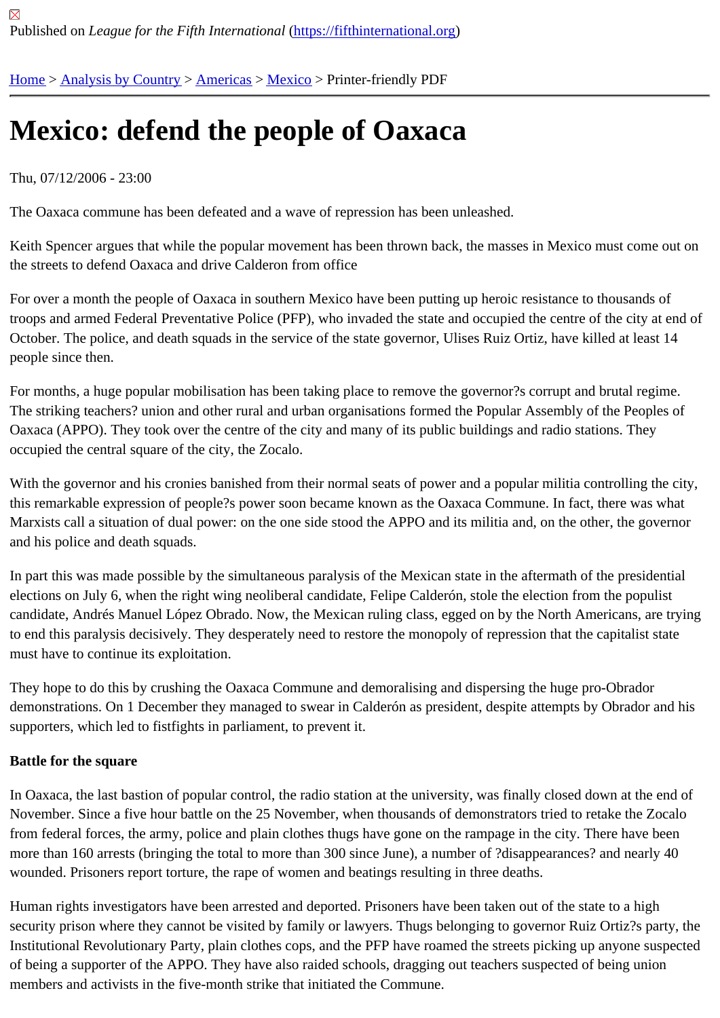# [Me](https://fifthinternational.org/)[xico: defen](https://fifthinternational.org/category/1)[d the](https://fifthinternational.org/category/1/56) [peop](https://fifthinternational.org/category/1/56/78)le of Oaxaca

## Thu, 07/12/2006 - 23:00

The Oaxaca commune has been defeated and a wave of repression has been unleashed.

Keith Spencer argues that while the popular movement has been thrown back, the masses in Mexico must come out the streets to defend Oaxaca and drive Calderon from office

For over a month the people of Oaxaca in southern Mexico have been putting up heroic resistance to thousands o troops and armed Federal Preventative Police (PFP), who invaded the state and occupied the centre of the city at October. The police, and death squads in the service of the state governor, Ulises Ruiz Ortiz, have killed at least 14 people since then.

For months, a huge popular mobilisation has been taking place to remove the governor?s corrupt and brutal regim The striking teachers? union and other rural and urban organisations formed the Popular Assembly of the Peoples of Oaxaca (APPO). They took over the centre of the city and many of its public buildings and radio stations. They occupied the central square of the city, the Zocalo.

With the governor and his cronies banished from their normal seats of power and a popular militia controlling the c this remarkable expression of people?s power soon became known as the Oaxaca Commune. In fact, there was v Marxists call a situation of dual power: on the one side stood the APPO and its militia and, on the other, the govern and his police and death squads.

In part this was made possible by the simultaneous paralysis of the Mexican state in the aftermath of the president elections on July 6, when the right wing neoliberal candidate, Felipe Calderón, stole the election from the populist candidate, Andrés Manuel López Obrado. Now, the Mexican ruling class, egged on by the North Americans, are tr to end this paralysis decisively. They desperately need to restore the monopoly of repression that the capitalist sta must have to continue its exploitation.

They hope to do this by crushing the Oaxaca Commune and demoralising and dispersing the huge pro-Obrador demonstrations. On 1 December they managed to swear in Calderón as president, despite attempts by Obrador a supporters, which led to fistfights in parliament, to prevent it.

#### Battle for the square

In Oaxaca, the last bastion of popular control, the radio station at the university, was finally closed down at the end November. Since a five hour battle on the 25 November, when thousands of demonstrators tried to retake the Zoc from federal forces, the army, police and plain clothes thugs have gone on the rampage in the city. There have bee more than 160 arrests (bringing the total to more than 300 since June), a number of ?disappearances? and nearly 40 wounded. Prisoners report torture, the rape of women and beatings resulting in three deaths.

Human rights investigators have been arrested and deported. Prisoners have been taken out of the state to a high security prison where they cannot be visited by family or lawyers. Thugs belonging to governor Ruiz Ortiz?s party, Institutional Revolutionary Party, plain clothes cops, and the PFP have roamed the streets picking up anyone susp of being a supporter of the APPO. They have also raided schools, dragging out teachers suspected of being union members and activists in the five-month strike that initiated the Commune.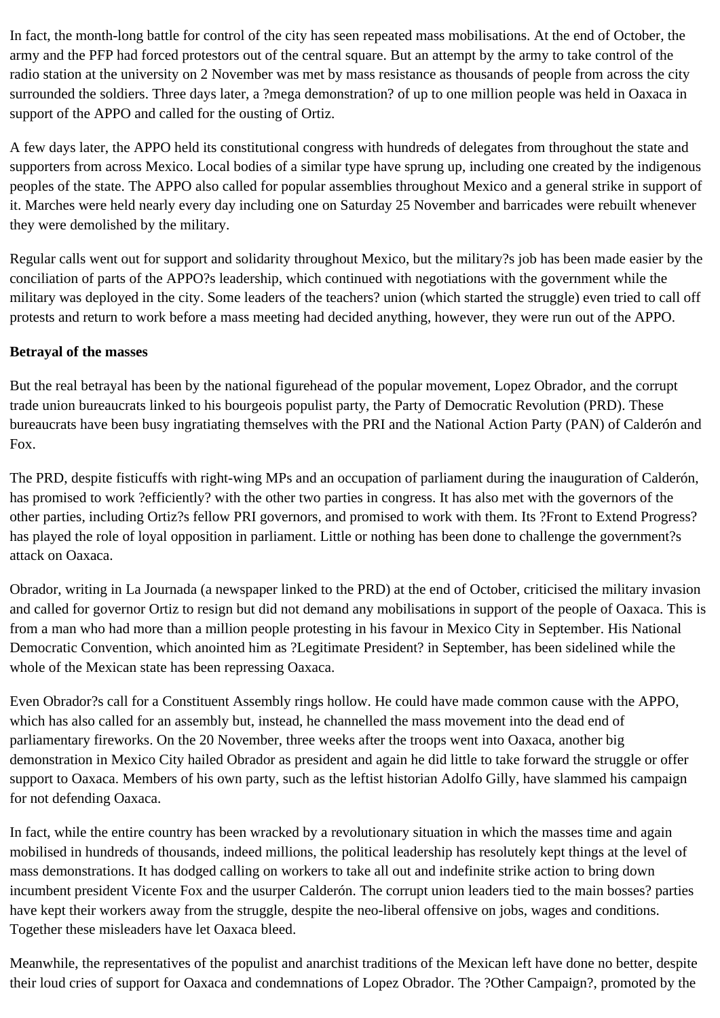In fact, the month-long battle for control of the city has seen repeated mass mobilisations. At the end of October, the army and the PFP had forced protestors out of the central square. But an attempt by the army to take control of the radio station at the university on 2 November was met by mass resistance as thousands of people from across the city surrounded the soldiers. Three days later, a ?mega demonstration? of up to one million people was held in Oaxaca in support of the APPO and called for the ousting of Ortiz.

A few days later, the APPO held its constitutional congress with hundreds of delegates from throughout the state and supporters from across Mexico. Local bodies of a similar type have sprung up, including one created by the indigenous peoples of the state. The APPO also called for popular assemblies throughout Mexico and a general strike in support of it. Marches were held nearly every day including one on Saturday 25 November and barricades were rebuilt whenever they were demolished by the military.

Regular calls went out for support and solidarity throughout Mexico, but the military?s job has been made easier by the conciliation of parts of the APPO?s leadership, which continued with negotiations with the government while the military was deployed in the city. Some leaders of the teachers? union (which started the struggle) even tried to call off protests and return to work before a mass meeting had decided anything, however, they were run out of the APPO.

## **Betrayal of the masses**

But the real betrayal has been by the national figurehead of the popular movement, Lopez Obrador, and the corrupt trade union bureaucrats linked to his bourgeois populist party, the Party of Democratic Revolution (PRD). These bureaucrats have been busy ingratiating themselves with the PRI and the National Action Party (PAN) of Calderón and Fox.

The PRD, despite fisticuffs with right-wing MPs and an occupation of parliament during the inauguration of Calderón, has promised to work ?efficiently? with the other two parties in congress. It has also met with the governors of the other parties, including Ortiz?s fellow PRI governors, and promised to work with them. Its ?Front to Extend Progress? has played the role of loyal opposition in parliament. Little or nothing has been done to challenge the government?s attack on Oaxaca.

Obrador, writing in La Journada (a newspaper linked to the PRD) at the end of October, criticised the military invasion and called for governor Ortiz to resign but did not demand any mobilisations in support of the people of Oaxaca. This is from a man who had more than a million people protesting in his favour in Mexico City in September. His National Democratic Convention, which anointed him as ?Legitimate President? in September, has been sidelined while the whole of the Mexican state has been repressing Oaxaca.

Even Obrador?s call for a Constituent Assembly rings hollow. He could have made common cause with the APPO, which has also called for an assembly but, instead, he channelled the mass movement into the dead end of parliamentary fireworks. On the 20 November, three weeks after the troops went into Oaxaca, another big demonstration in Mexico City hailed Obrador as president and again he did little to take forward the struggle or offer support to Oaxaca. Members of his own party, such as the leftist historian Adolfo Gilly, have slammed his campaign for not defending Oaxaca.

In fact, while the entire country has been wracked by a revolutionary situation in which the masses time and again mobilised in hundreds of thousands, indeed millions, the political leadership has resolutely kept things at the level of mass demonstrations. It has dodged calling on workers to take all out and indefinite strike action to bring down incumbent president Vicente Fox and the usurper Calderón. The corrupt union leaders tied to the main bosses? parties have kept their workers away from the struggle, despite the neo-liberal offensive on jobs, wages and conditions. Together these misleaders have let Oaxaca bleed.

Meanwhile, the representatives of the populist and anarchist traditions of the Mexican left have done no better, despite their loud cries of support for Oaxaca and condemnations of Lopez Obrador. The ?Other Campaign?, promoted by the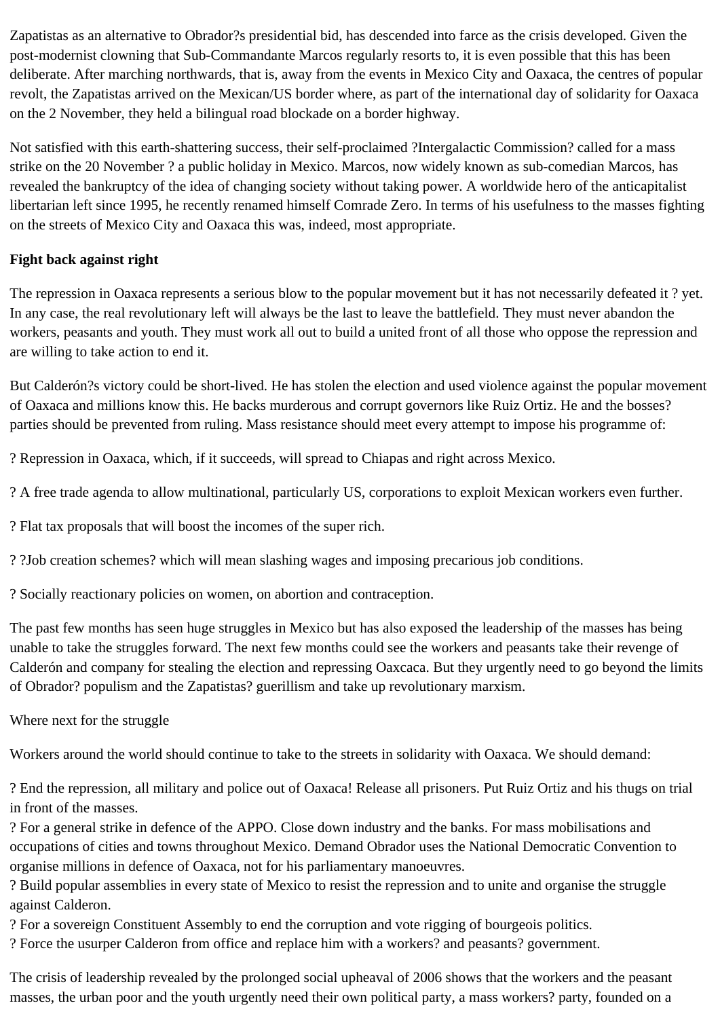Zapatistas as an alternative to Obrador?s presidential bid, has descended into farce as the crisis developed. Given the post-modernist clowning that Sub-Commandante Marcos regularly resorts to, it is even possible that this has been deliberate. After marching northwards, that is, away from the events in Mexico City and Oaxaca, the centres of popular revolt, the Zapatistas arrived on the Mexican/US border where, as part of the international day of solidarity for Oaxaca on the 2 November, they held a bilingual road blockade on a border highway.

Not satisfied with this earth-shattering success, their self-proclaimed ?Intergalactic Commission? called for a mass strike on the 20 November ? a public holiday in Mexico. Marcos, now widely known as sub-comedian Marcos, has revealed the bankruptcy of the idea of changing society without taking power. A worldwide hero of the anticapitalist libertarian left since 1995, he recently renamed himself Comrade Zero. In terms of his usefulness to the masses fighting on the streets of Mexico City and Oaxaca this was, indeed, most appropriate.

# **Fight back against right**

The repression in Oaxaca represents a serious blow to the popular movement but it has not necessarily defeated it ? yet. In any case, the real revolutionary left will always be the last to leave the battlefield. They must never abandon the workers, peasants and youth. They must work all out to build a united front of all those who oppose the repression and are willing to take action to end it.

But Calderón?s victory could be short-lived. He has stolen the election and used violence against the popular movement of Oaxaca and millions know this. He backs murderous and corrupt governors like Ruiz Ortiz. He and the bosses? parties should be prevented from ruling. Mass resistance should meet every attempt to impose his programme of:

? Repression in Oaxaca, which, if it succeeds, will spread to Chiapas and right across Mexico.

? A free trade agenda to allow multinational, particularly US, corporations to exploit Mexican workers even further.

? Flat tax proposals that will boost the incomes of the super rich.

? ?Job creation schemes? which will mean slashing wages and imposing precarious job conditions.

? Socially reactionary policies on women, on abortion and contraception.

The past few months has seen huge struggles in Mexico but has also exposed the leadership of the masses has being unable to take the struggles forward. The next few months could see the workers and peasants take their revenge of Calderón and company for stealing the election and repressing Oaxcaca. But they urgently need to go beyond the limits of Obrador? populism and the Zapatistas? guerillism and take up revolutionary marxism.

Where next for the struggle

Workers around the world should continue to take to the streets in solidarity with Oaxaca. We should demand:

? End the repression, all military and police out of Oaxaca! Release all prisoners. Put Ruiz Ortiz and his thugs on trial in front of the masses.

? For a general strike in defence of the APPO. Close down industry and the banks. For mass mobilisations and occupations of cities and towns throughout Mexico. Demand Obrador uses the National Democratic Convention to organise millions in defence of Oaxaca, not for his parliamentary manoeuvres.

? Build popular assemblies in every state of Mexico to resist the repression and to unite and organise the struggle against Calderon.

? For a sovereign Constituent Assembly to end the corruption and vote rigging of bourgeois politics.

? Force the usurper Calderon from office and replace him with a workers? and peasants? government.

The crisis of leadership revealed by the prolonged social upheaval of 2006 shows that the workers and the peasant masses, the urban poor and the youth urgently need their own political party, a mass workers? party, founded on a